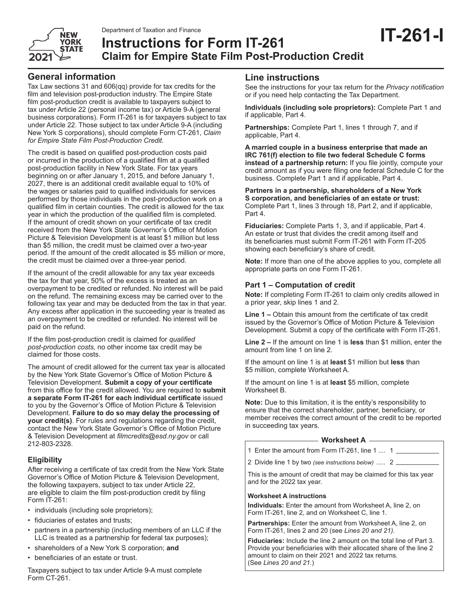

# **IT-261-I** Department of Taxation and Finance **Instructions for Form IT-261 Claim for Empire State Film Post-Production Credit**

Tax Law sections 31 and 606(qq) provide for tax credits for the film and television post-production industry. The Empire State film post-production credit is available to taxpayers subject to tax under Article 22 (personal income tax) or Article 9-A (general business corporations). Form IT-261 is for taxpayers subject to tax under Article 22. Those subject to tax under Article 9-A (including New York S corporations), should complete Form CT-261, *Claim for Empire State Film Post-Production Credit*.

The credit is based on qualified post-production costs paid or incurred in the production of a qualified film at a qualified post-production facility in New York State. For tax years beginning on or after January 1, 2015, and before January 1, 2027, there is an additional credit available equal to 10% of the wages or salaries paid to qualified individuals for services performed by those individuals in the post-production work on a qualified film in certain counties. The credit is allowed for the tax year in which the production of the qualified film is completed. If the amount of credit shown on your certificate of tax credit received from the New York State Governor's Office of Motion Picture & Television Development is at least \$1 million but less than \$5 million, the credit must be claimed over a two-year period. If the amount of the credit allocated is \$5 million or more, the credit must be claimed over a three-year period.

If the amount of the credit allowable for any tax year exceeds the tax for that year, 50% of the excess is treated as an overpayment to be credited or refunded. No interest will be paid on the refund. The remaining excess may be carried over to the following tax year and may be deducted from the tax in that year. Any excess after application in the succeeding year is treated as an overpayment to be credited or refunded. No interest will be paid on the refund.

If the film post-production credit is claimed for *qualified post-production costs,* no other income tax credit may be claimed for those costs.

The amount of credit allowed for the current tax year is allocated by the New York State Governor's Office of Motion Picture & Television Development. **Submit a copy of your certificate** from this office for the credit allowed. You are required to **submit a separate Form IT-261 for each individual certificate** issued to you by the Governor's Office of Motion Picture & Television Development. **Failure to do so may delay the processing of your credit(s)**. For rules and regulations regarding the credit, contact the New York State Governor's Office of Motion Picture & Television Development at *filmcredits@esd.ny.gov* or call 212-803-2328.

# **Eligibility**

After receiving a certificate of tax credit from the New York State Governor's Office of Motion Picture & Television Development, the following taxpayers, subject to tax under Article 22, are eligible to claim the film post-production credit by filing Form IT-261:

- individuals (including sole proprietors);
- fiduciaries of estates and trusts;
- partners in a partnership (including members of an LLC if the LLC is treated as a partnership for federal tax purposes);
- shareholders of a New York S corporation; **and**
- beneficiaries of an estate or trust.

Taxpayers subject to tax under Article 9-A must complete Form CT-261.

# **Line instructions**

See the instructions for your tax return for the *Privacy notification* or if you need help contacting the Tax Department.

**Individuals (including sole proprietors):** Complete Part 1 and if applicable, Part 4.

**Partnerships:** Complete Part 1, lines 1 through 7, and if applicable, Part 4.

**A married couple in a business enterprise that made an IRC 761(f) election to file two federal Schedule C forms instead of a partnership return:** If you file jointly, compute your credit amount as if you were filing one federal Schedule C for the business. Complete Part 1 and if applicable, Part 4.

**Partners in a partnership, shareholders of a New York S corporation, and beneficiaries of an estate or trust:** Complete Part 1, lines 3 through 18, Part 2, and if applicable, Part 4.

**Fiduciaries:** Complete Parts 1, 3, and if applicable, Part 4. An estate or trust that divides the credit among itself and its beneficiaries must submit Form IT-261 with Form IT-205 showing each beneficiary's share of credit.

**Note:** If more than one of the above applies to you, complete all appropriate parts on one Form IT-261.

# **Part 1 – Computation of credit**

**Note:** If completing Form IT-261 to claim only credits allowed in a prior year, skip lines 1 and 2.

**Line 1 –** Obtain this amount from the certificate of tax credit issued by the Governor's Office of Motion Picture & Television Development. Submit a copy of the certificate with Form IT-261.

**Line 2 –** If the amount on line 1 is **less** than \$1 million, enter the amount from line 1 on line 2.

If the amount on line 1 is at **least** \$1 million but **less** than \$5 million, complete Worksheet A.

If the amount on line 1 is at **least** \$5 million, complete Worksheet B.

**Note:** Due to this limitation, it is the entity's responsibility to ensure that the correct shareholder, partner, beneficiary, or member receives the correct amount of the credit to be reported in succeeding tax years.

#### **Worksheet A**

- 1 Enter the amount from Form IT-261, line 1 .... 1
- 2 Divide line 1 by two *(see instructions below)* ..... 2

This is the amount of credit that may be claimed for this tax year and for the 2022 tax year.

#### **Worksheet A instructions**

**Individuals:** Enter the amount from Worksheet A, line 2, on Form IT-261, line 2, and on Worksheet C, line 1.

**Partnerships:** Enter the amount from Worksheet A, line 2, on Form IT-261, lines 2 and 20 (see *Lines 20 and 21).*

**Fiduciaries:** Include the line 2 amount on the total line of Part 3. Provide your beneficiaries with their allocated share of the line 2 amount to claim on their 2021 and 2022 tax returns. (See *Lines 20 and 21.*)